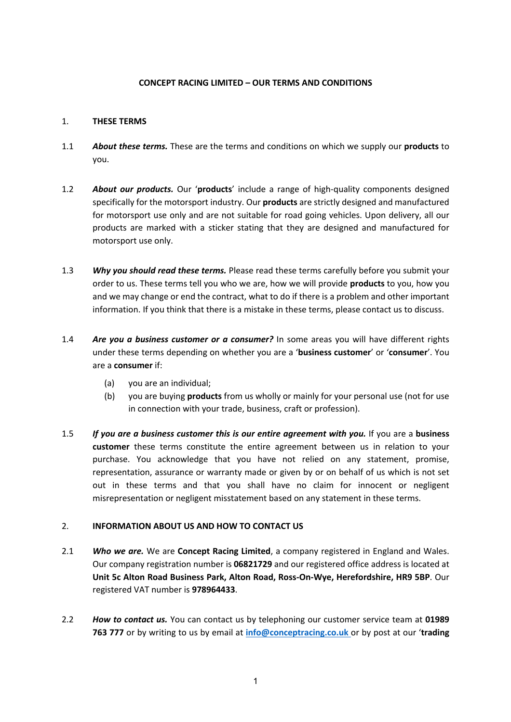#### **CONCEPT RACING LIMITED – OUR TERMS AND CONDITIONS**

#### 1. **THESE TERMS**

- 1.1 *About these terms.* These are the terms and conditions on which we supply our **products** to you.
- 1.2 *About our products.* Our '**products**' include a range of high-quality components designed specifically for the motorsport industry. Our **products** are strictly designed and manufactured for motorsport use only and are not suitable for road going vehicles. Upon delivery, all our products are marked with a sticker stating that they are designed and manufactured for motorsport use only.
- 1.3 *Why you should read these terms.* Please read these terms carefully before you submit your order to us. These terms tell you who we are, how we will provide **products** to you, how you and we may change or end the contract, what to do if there is a problem and other important information. If you think that there is a mistake in these terms, please contact us to discuss.
- 1.4 *Are you a business customer or a consumer?* In some areas you will have different rights under these terms depending on whether you are a '**business customer**' or '**consumer**'. You are a **consumer** if:
	- (a) you are an individual;
	- (b) you are buying **products** from us wholly or mainly for your personal use (not for use in connection with your trade, business, craft or profession).
- 1.5 *If you are a business customer this is our entire agreement with you.* If you are a **business customer** these terms constitute the entire agreement between us in relation to your purchase. You acknowledge that you have not relied on any statement, promise, representation, assurance or warranty made or given by or on behalf of us which is not set out in these terms and that you shall have no claim for innocent or negligent misrepresentation or negligent misstatement based on any statement in these terms.

## 2. **INFORMATION ABOUT US AND HOW TO CONTACT US**

- 2.1 *Who we are.* We are **Concept Racing Limited**, a company registered in England and Wales. Our company registration number is **06821729** and our registered office address is located at **Unit 5c Alton Road Business Park, Alton Road, Ross-On-Wye, Herefordshire, HR9 5BP**. Our registered VAT number is **978964433**.
- 2.2 *How to contact us.* You can contact us by telephoning our customer service team at **01989 763 777** or by writing to us by email at **info@conceptracing.co.uk** or by post at our '**trading**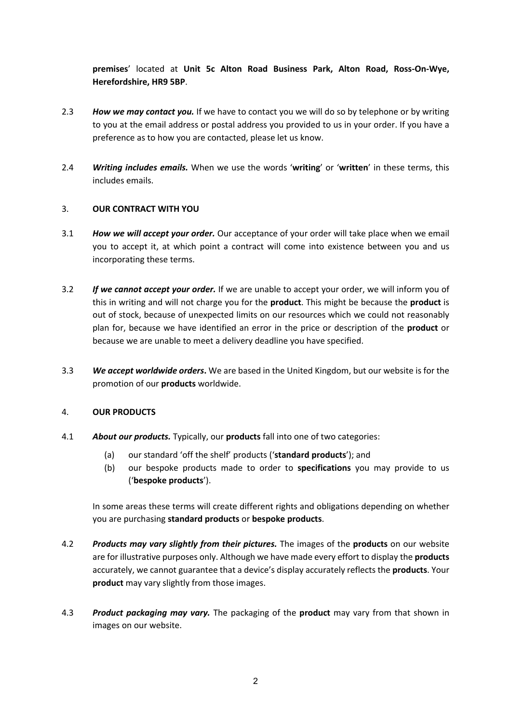**premises**' located at **Unit 5c Alton Road Business Park, Alton Road, Ross-On-Wye, Herefordshire, HR9 5BP**.

- 2.3 *How we may contact you.* If we have to contact you we will do so by telephone or by writing to you at the email address or postal address you provided to us in your order. If you have a preference as to how you are contacted, please let us know.
- 2.4 *Writing includes emails.* When we use the words '**writing**' or '**written**' in these terms, this includes emails.

## 3. **OUR CONTRACT WITH YOU**

- 3.1 *How we will accept your order.* Our acceptance of your order will take place when we email you to accept it, at which point a contract will come into existence between you and us incorporating these terms.
- 3.2 *If we cannot accept your order.* If we are unable to accept your order, we will inform you of this in writing and will not charge you for the **product**. This might be because the **product** is out of stock, because of unexpected limits on our resources which we could not reasonably plan for, because we have identified an error in the price or description of the **product** or because we are unable to meet a delivery deadline you have specified.
- 3.3 *We accept worldwide orders***.** We are based in the United Kingdom, but our website is for the promotion of our **products** worldwide.

## 4. **OUR PRODUCTS**

- 4.1 *About our products.* Typically, our **products** fall into one of two categories:
	- (a) our standard 'off the shelf' products ('**standard products**'); and
	- (b) our bespoke products made to order to **specifications** you may provide to us ('**bespoke products**').

In some areas these terms will create different rights and obligations depending on whether you are purchasing **standard products** or **bespoke products**.

- 4.2 *Products may vary slightly from their pictures.* The images of the **products** on our website are for illustrative purposes only. Although we have made every effort to display the **products** accurately, we cannot guarantee that a device's display accurately reflects the **products**. Your **product** may vary slightly from those images.
- 4.3 *Product packaging may vary.* The packaging of the **product** may vary from that shown in images on our website.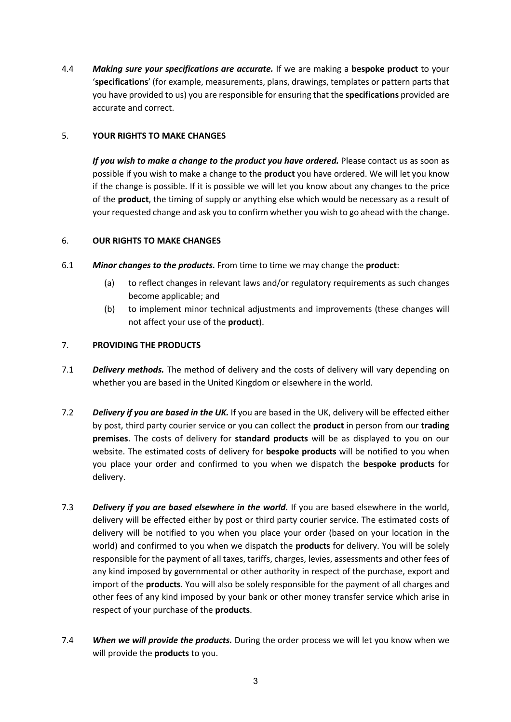4.4 *Making sure your specifications are accurate.* If we are making a **bespoke product** to your '**specifications**' (for example, measurements, plans, drawings, templates or pattern parts that you have provided to us) you are responsible for ensuring that the **specifications** provided are accurate and correct.

# 5. **YOUR RIGHTS TO MAKE CHANGES**

*If you wish to make a change to the product you have ordered.* Please contact us as soon as possible if you wish to make a change to the **product** you have ordered. We will let you know if the change is possible. If it is possible we will let you know about any changes to the price of the **product**, the timing of supply or anything else which would be necessary as a result of your requested change and ask you to confirm whether you wish to go ahead with the change.

## 6. **OUR RIGHTS TO MAKE CHANGES**

- 6.1 *Minor changes to the products.* From time to time we may change the **product**:
	- (a) to reflect changes in relevant laws and/or regulatory requirements as such changes become applicable; and
	- (b) to implement minor technical adjustments and improvements (these changes will not affect your use of the **product**).

# 7. **PROVIDING THE PRODUCTS**

- 7.1 *Delivery methods.* The method of delivery and the costs of delivery will vary depending on whether you are based in the United Kingdom or elsewhere in the world.
- 7.2 *Delivery if you are based in the UK.* If you are based in the UK, delivery will be effected either by post, third party courier service or you can collect the **product** in person from our **trading premises**. The costs of delivery for **standard products** will be as displayed to you on our website. The estimated costs of delivery for **bespoke products** will be notified to you when you place your order and confirmed to you when we dispatch the **bespoke products** for delivery.
- 7.3 *Delivery if you are based elsewhere in the world.* If you are based elsewhere in the world, delivery will be effected either by post or third party courier service. The estimated costs of delivery will be notified to you when you place your order (based on your location in the world) and confirmed to you when we dispatch the **products** for delivery. You will be solely responsible for the payment of all taxes, tariffs, charges, levies, assessments and other fees of any kind imposed by governmental or other authority in respect of the purchase, export and import of the **products**. You will also be solely responsible for the payment of all charges and other fees of any kind imposed by your bank or other money transfer service which arise in respect of your purchase of the **products**.
- 7.4 *When we will provide the products.* During the order process we will let you know when we will provide the **products** to you.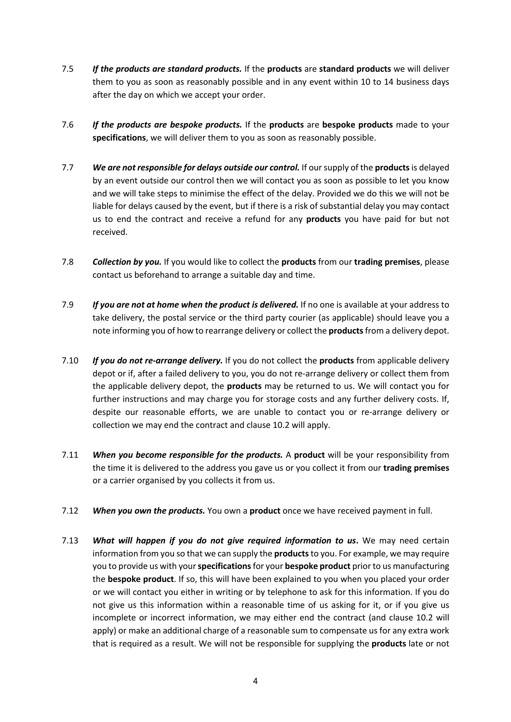- 7.5 *If the products are standard products.* If the **products** are **standard products** we will deliver them to you as soon as reasonably possible and in any event within 10 to 14 business days after the day on which we accept your order.
- 7.6 *If the products are bespoke products.* If the **products** are **bespoke products** made to your **specifications**, we will deliver them to you as soon as reasonably possible.
- 7.7 *We are not responsible for delays outside our control.* If our supply of the **products**is delayed by an event outside our control then we will contact you as soon as possible to let you know and we will take steps to minimise the effect of the delay. Provided we do this we will not be liable for delays caused by the event, but if there is a risk of substantial delay you may contact us to end the contract and receive a refund for any **products** you have paid for but not received.
- 7.8 *Collection by you.* If you would like to collect the **products** from our **trading premises**, please contact us beforehand to arrange a suitable day and time.
- 7.9 *If you are not at home when the product is delivered.* If no one is available at your address to take delivery, the postal service or the third party courier (as applicable) should leave you a note informing you of how to rearrange delivery or collect the **products**from a delivery depot.
- 7.10 *If you do not re-arrange delivery.* If you do not collect the **products** from applicable delivery depot or if, after a failed delivery to you, you do not re-arrange delivery or collect them from the applicable delivery depot, the **products** may be returned to us. We will contact you for further instructions and may charge you for storage costs and any further delivery costs. If, despite our reasonable efforts, we are unable to contact you or re-arrange delivery or collection we may end the contract and clause 10.2 will apply.
- 7.11 *When you become responsible for the products.* A **product** will be your responsibility from the time it is delivered to the address you gave us or you collect it from our **trading premises** or a carrier organised by you collects it from us.
- 7.12 *When you own the products.* You own a **product** once we have received payment in full.
- 7.13 *What will happen if you do not give required information to us***.** We may need certain information from you so that we can supply the **products**to you. For example, we may require you to provide us with your **specifications**for your **bespoke product** prior to us manufacturing the **bespoke product**. If so, this will have been explained to you when you placed your order or we will contact you either in writing or by telephone to ask for this information. If you do not give us this information within a reasonable time of us asking for it, or if you give us incomplete or incorrect information, we may either end the contract (and clause 10.2 will apply) or make an additional charge of a reasonable sum to compensate us for any extra work that is required as a result. We will not be responsible for supplying the **products** late or not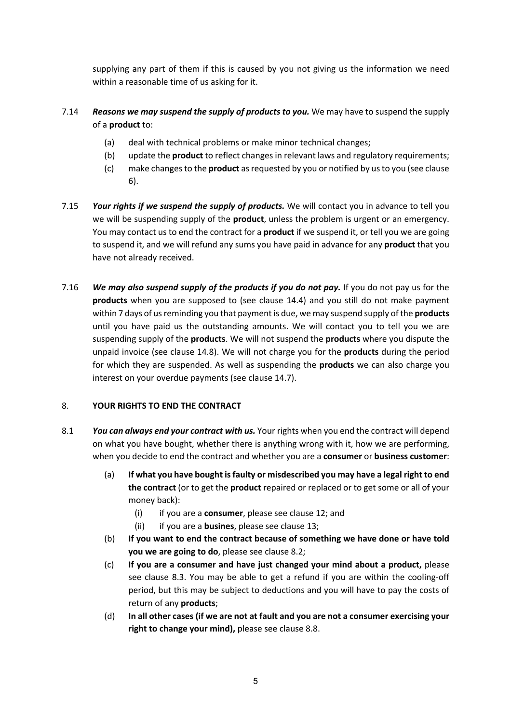supplying any part of them if this is caused by you not giving us the information we need within a reasonable time of us asking for it.

# 7.14 *Reasons we may suspend the supply of products to you.* We may have to suspend the supply of a **product** to:

- (a) deal with technical problems or make minor technical changes;
- (b) update the **product** to reflect changes in relevant laws and regulatory requirements;
- (c) make changes to the **product** as requested by you or notified by us to you (see clause 6).
- 7.15 *Your rights if we suspend the supply of products.* We will contact you in advance to tell you we will be suspending supply of the **product**, unless the problem is urgent or an emergency. You may contact us to end the contract for a **product** if we suspend it, or tell you we are going to suspend it, and we will refund any sums you have paid in advance for any **product** that you have not already received.
- 7.16 *We may also suspend supply of the products if you do not pay.* If you do not pay us for the **products** when you are supposed to (see clause 14.4) and you still do not make payment within 7 days of us reminding you that payment is due, we may suspend supply of the **products** until you have paid us the outstanding amounts. We will contact you to tell you we are suspending supply of the **products**. We will not suspend the **products** where you dispute the unpaid invoice (see clause 14.8). We will not charge you for the **products** during the period for which they are suspended. As well as suspending the **products** we can also charge you interest on your overdue payments (see clause 14.7).

## 8. **YOUR RIGHTS TO END THE CONTRACT**

- 8.1 *You can always end your contract with us.* Your rights when you end the contract will depend on what you have bought, whether there is anything wrong with it, how we are performing, when you decide to end the contract and whether you are a **consumer** or **business customer**:
	- (a) **If what you have bought is faulty or misdescribed you may have a legal right to end the contract** (or to get the **product** repaired or replaced or to get some or all of your money back):
		- (i) if you are a **consumer**, please see clause 12; and
		- (ii) if you are a **busines**, please see clause 13;
	- (b) **If you want to end the contract because of something we have done or have told you we are going to do**, please see clause 8.2;
	- (c) **If you are a consumer and have just changed your mind about a product,** please see clause 8.3. You may be able to get a refund if you are within the cooling-off period, but this may be subject to deductions and you will have to pay the costs of return of any **products**;
	- (d) **In all other cases (if we are not at fault and you are not a consumer exercising your right to change your mind),** please see clause 8.8.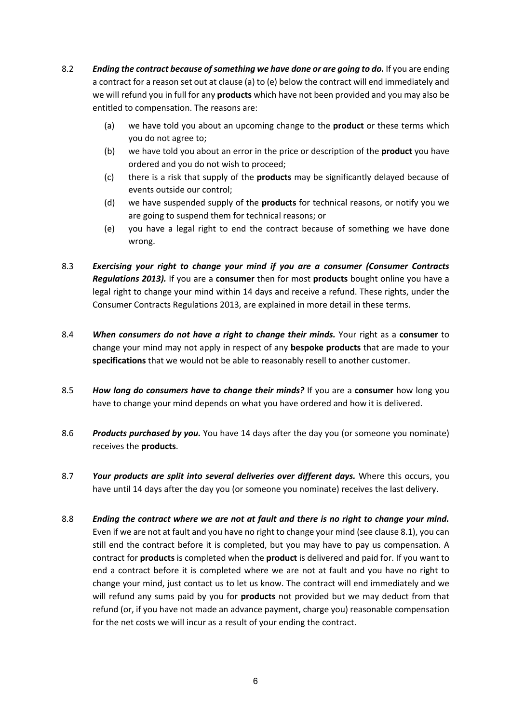- 8.2 *Ending the contract because of something we have done or are going to do.* If you are ending a contract for a reason set out at clause (a) to (e) below the contract will end immediately and we will refund you in full for any **products** which have not been provided and you may also be entitled to compensation. The reasons are:
	- (a) we have told you about an upcoming change to the **product** or these terms which you do not agree to;
	- (b) we have told you about an error in the price or description of the **product** you have ordered and you do not wish to proceed;
	- (c) there is a risk that supply of the **products** may be significantly delayed because of events outside our control;
	- (d) we have suspended supply of the **products** for technical reasons, or notify you we are going to suspend them for technical reasons; or
	- (e) you have a legal right to end the contract because of something we have done wrong.
- 8.3 *Exercising your right to change your mind if you are a consumer (Consumer Contracts Regulations 2013).* If you are a **consumer** then for most **products** bought online you have a legal right to change your mind within 14 days and receive a refund. These rights, under the Consumer Contracts Regulations 2013, are explained in more detail in these terms.
- 8.4 *When consumers do not have a right to change their minds.* Your right as a **consumer** to change your mind may not apply in respect of any **bespoke products** that are made to your **specifications** that we would not be able to reasonably resell to another customer.
- 8.5 *How long do consumers have to change their minds?* If you are a **consumer** how long you have to change your mind depends on what you have ordered and how it is delivered.
- 8.6 *Products purchased by you.* You have 14 days after the day you (or someone you nominate) receives the **products**.
- 8.7 *Your products are split into several deliveries over different days.* Where this occurs, you have until 14 days after the day you (or someone you nominate) receives the last delivery.
- 8.8 *Ending the contract where we are not at fault and there is no right to change your mind.* Even if we are not at fault and you have no right to change your mind (see clause 8.1), you can still end the contract before it is completed, but you may have to pay us compensation. A contract for **products** is completed when the **product** is delivered and paid for. If you want to end a contract before it is completed where we are not at fault and you have no right to change your mind, just contact us to let us know. The contract will end immediately and we will refund any sums paid by you for **products** not provided but we may deduct from that refund (or, if you have not made an advance payment, charge you) reasonable compensation for the net costs we will incur as a result of your ending the contract.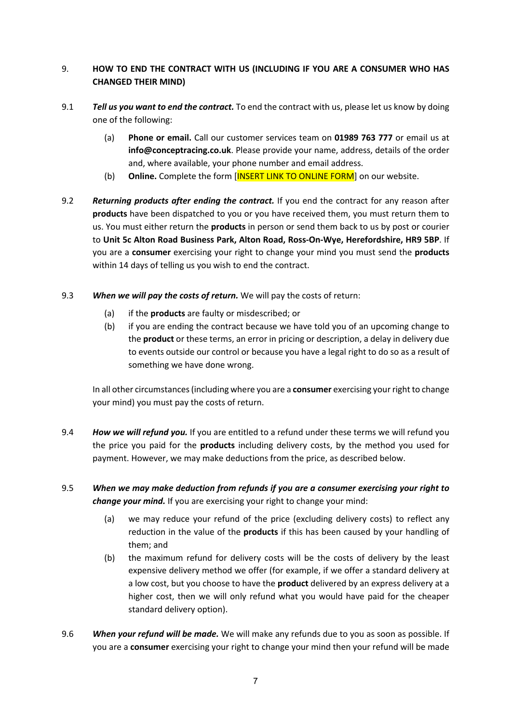# 9. **HOW TO END THE CONTRACT WITH US (INCLUDING IF YOU ARE A CONSUMER WHO HAS CHANGED THEIR MIND)**

- 9.1 *Tell us you want to end the contract.* To end the contract with us, please let us know by doing one of the following:
	- (a) **Phone or email.** Call our customer services team on **01989 763 777** or email us at **info@conceptracing.co.uk**. Please provide your name, address, details of the order and, where available, your phone number and email address.
	- (b) **Online.** Complete the form [INSERT LINK TO ONLINE FORM] on our website.
- 9.2 *Returning products after ending the contract.* If you end the contract for any reason after **products** have been dispatched to you or you have received them, you must return them to us. You must either return the **products** in person or send them back to us by post or courier to **Unit 5c Alton Road Business Park, Alton Road, Ross-On-Wye, Herefordshire, HR9 5BP**. If you are a **consumer** exercising your right to change your mind you must send the **products** within 14 days of telling us you wish to end the contract.
- 9.3 *When we will pay the costs of return.* We will pay the costs of return:
	- (a) if the **products** are faulty or misdescribed; or
	- (b) if you are ending the contract because we have told you of an upcoming change to the **product** or these terms, an error in pricing or description, a delay in delivery due to events outside our control or because you have a legal right to do so as a result of something we have done wrong.

In all other circumstances (including where you are a **consumer** exercising your right to change your mind) you must pay the costs of return.

- 9.4 *How we will refund you.* If you are entitled to a refund under these terms we will refund you the price you paid for the **products** including delivery costs, by the method you used for payment. However, we may make deductions from the price, as described below.
- 9.5 *When we may make deduction from refunds if you are a consumer exercising your right to change your mind.* If you are exercising your right to change your mind:
	- (a) we may reduce your refund of the price (excluding delivery costs) to reflect any reduction in the value of the **products** if this has been caused by your handling of them; and
	- (b) the maximum refund for delivery costs will be the costs of delivery by the least expensive delivery method we offer (for example, if we offer a standard delivery at a low cost, but you choose to have the **product** delivered by an express delivery at a higher cost, then we will only refund what you would have paid for the cheaper standard delivery option).
- 9.6 *When your refund will be made.* We will make any refunds due to you as soon as possible. If you are a **consumer** exercising your right to change your mind then your refund will be made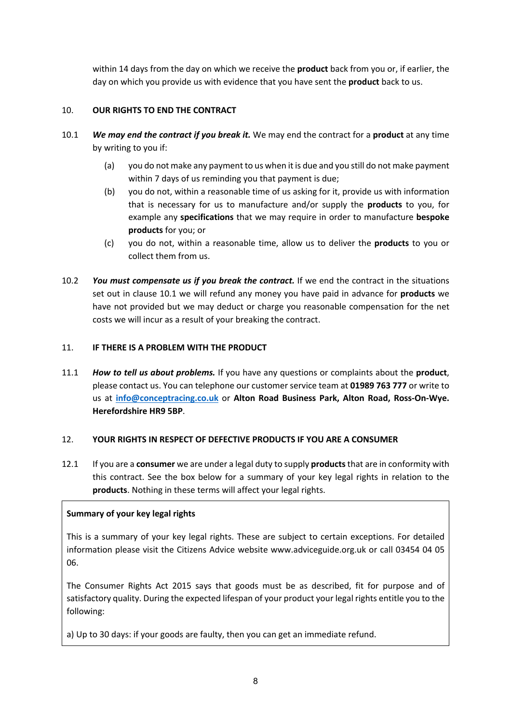within 14 days from the day on which we receive the **product** back from you or, if earlier, the day on which you provide us with evidence that you have sent the **product** back to us.

## 10. **OUR RIGHTS TO END THE CONTRACT**

- 10.1 *We may end the contract if you break it.* We may end the contract for a **product** at any time by writing to you if:
	- (a) you do not make any payment to us when it is due and you still do not make payment within 7 days of us reminding you that payment is due;
	- (b) you do not, within a reasonable time of us asking for it, provide us with information that is necessary for us to manufacture and/or supply the **products** to you, for example any **specifications** that we may require in order to manufacture **bespoke products** for you; or
	- (c) you do not, within a reasonable time, allow us to deliver the **products** to you or collect them from us.
- 10.2 *You must compensate us if you break the contract.* If we end the contract in the situations set out in clause 10.1 we will refund any money you have paid in advance for **products** we have not provided but we may deduct or charge you reasonable compensation for the net costs we will incur as a result of your breaking the contract.

## 11. **IF THERE IS A PROBLEM WITH THE PRODUCT**

11.1 *How to tell us about problems.* If you have any questions or complaints about the **product**, please contact us. You can telephone our customer service team at **01989 763 777** or write to us at **info@conceptracing.co.uk** or **Alton Road Business Park, Alton Road, Ross-On-Wye. Herefordshire HR9 5BP**.

## 12. **YOUR RIGHTS IN RESPECT OF DEFECTIVE PRODUCTS IF YOU ARE A CONSUMER**

12.1 If you are a **consumer** we are under a legal duty to supply **products**that are in conformity with this contract. See the box below for a summary of your key legal rights in relation to the **products**. Nothing in these terms will affect your legal rights.

## **Summary of your key legal rights**

This is a summary of your key legal rights. These are subject to certain exceptions. For detailed information please visit the Citizens Advice website www.adviceguide.org.uk or call 03454 04 05 06.

The Consumer Rights Act 2015 says that goods must be as described, fit for purpose and of satisfactory quality. During the expected lifespan of your product your legal rights entitle you to the following:

a) Up to 30 days: if your goods are faulty, then you can get an immediate refund.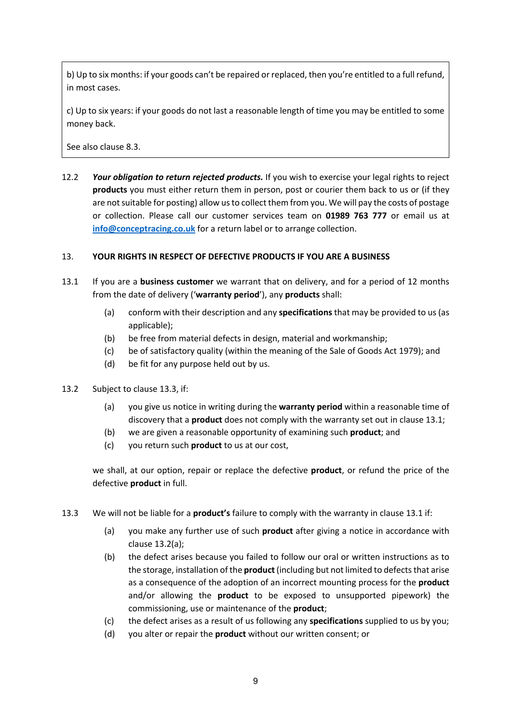b) Up to six months: if your goods can't be repaired or replaced, then you're entitled to a full refund, in most cases.

c) Up to six years: if your goods do not last a reasonable length of time you may be entitled to some money back.

See also clause 8.3.

12.2 *Your obligation to return rejected products.* If you wish to exercise your legal rights to reject **products** you must either return them in person, post or courier them back to us or (if they are not suitable for posting) allow us to collect them from you. We will pay the costs of postage or collection. Please call our customer services team on **01989 763 777** or email us at **info@conceptracing.co.uk** for a return label or to arrange collection.

#### 13. **YOUR RIGHTS IN RESPECT OF DEFECTIVE PRODUCTS IF YOU ARE A BUSINESS**

- 13.1 If you are a **business customer** we warrant that on delivery, and for a period of 12 months from the date of delivery ('**warranty period**'), any **products** shall:
	- (a) conform with their description and any **specifications**that may be provided to us (as applicable);
	- (b) be free from material defects in design, material and workmanship;
	- (c) be of satisfactory quality (within the meaning of the Sale of Goods Act 1979); and
	- (d) be fit for any purpose held out by us.
- 13.2 Subject to clause 13.3, if:
	- (a) you give us notice in writing during the **warranty period** within a reasonable time of discovery that a **product** does not comply with the warranty set out in clause 13.1;
	- (b) we are given a reasonable opportunity of examining such **product**; and
	- (c) you return such **product** to us at our cost,

we shall, at our option, repair or replace the defective **product**, or refund the price of the defective **product** in full.

- 13.3 We will not be liable for a **product's** failure to comply with the warranty in clause 13.1 if:
	- (a) you make any further use of such **product** after giving a notice in accordance with clause 13.2(a);
	- (b) the defect arises because you failed to follow our oral or written instructions as to the storage, installation of the **product** (including but not limited to defects that arise as a consequence of the adoption of an incorrect mounting process for the **product** and/or allowing the **product** to be exposed to unsupported pipework) the commissioning, use or maintenance of the **product**;
	- (c) the defect arises as a result of us following any **specifications** supplied to us by you;
	- (d) you alter or repair the **product** without our written consent; or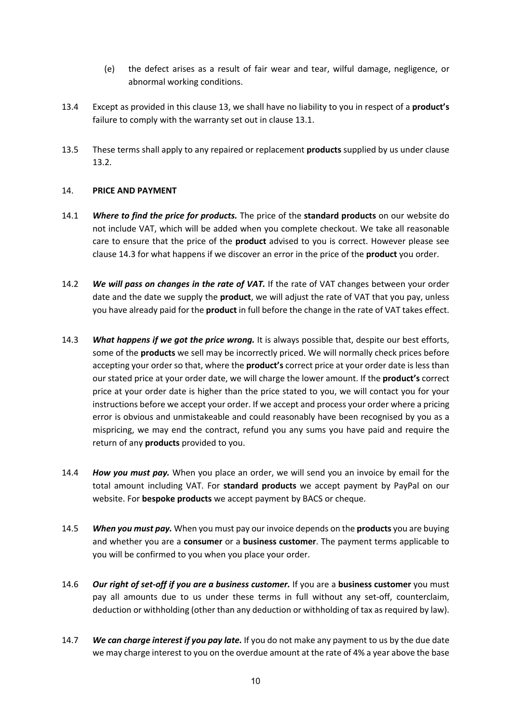- (e) the defect arises as a result of fair wear and tear, wilful damage, negligence, or abnormal working conditions.
- 13.4 Except as provided in this clause 13, we shall have no liability to you in respect of a **product's** failure to comply with the warranty set out in clause 13.1.
- 13.5 These terms shall apply to any repaired or replacement **products** supplied by us under clause 13.2.

#### 14. **PRICE AND PAYMENT**

- 14.1 *Where to find the price for products.* The price of the **standard products** on our website do not include VAT, which will be added when you complete checkout. We take all reasonable care to ensure that the price of the **product** advised to you is correct. However please see clause 14.3 for what happens if we discover an error in the price of the **product** you order.
- 14.2 *We will pass on changes in the rate of VAT.* If the rate of VAT changes between your order date and the date we supply the **product**, we will adjust the rate of VAT that you pay, unless you have already paid for the **product** in full before the change in the rate of VAT takes effect.
- 14.3 *What happens if we got the price wrong.* It is always possible that, despite our best efforts, some of the **products** we sell may be incorrectly priced. We will normally check prices before accepting your order so that, where the **product's** correct price at your order date is less than our stated price at your order date, we will charge the lower amount. If the **product's** correct price at your order date is higher than the price stated to you, we will contact you for your instructions before we accept your order. If we accept and process your order where a pricing error is obvious and unmistakeable and could reasonably have been recognised by you as a mispricing, we may end the contract, refund you any sums you have paid and require the return of any **products** provided to you.
- 14.4 *How you must pay.* When you place an order, we will send you an invoice by email for the total amount including VAT. For **standard products** we accept payment by PayPal on our website. For **bespoke products** we accept payment by BACS or cheque.
- 14.5 *When you must pay.* When you must pay our invoice depends on the **products** you are buying and whether you are a **consumer** or a **business customer**. The payment terms applicable to you will be confirmed to you when you place your order.
- 14.6 *Our right of set-off if you are a business customer.* If you are a **business customer** you must pay all amounts due to us under these terms in full without any set-off, counterclaim, deduction or withholding (other than any deduction or withholding of tax as required by law).
- 14.7 *We can charge interest if you pay late.* If you do not make any payment to us by the due date we may charge interest to you on the overdue amount at the rate of 4% a year above the base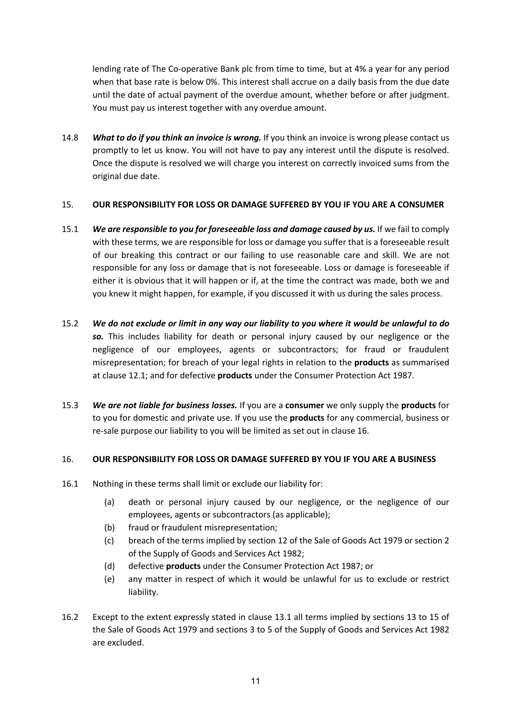lending rate of The Co-operative Bank plc from time to time, but at 4% a year for any period when that base rate is below 0%. This interest shall accrue on a daily basis from the due date until the date of actual payment of the overdue amount, whether before or after judgment. You must pay us interest together with any overdue amount.

14.8 *What to do if you think an invoice is wrong.* If you think an invoice is wrong please contact us promptly to let us know. You will not have to pay any interest until the dispute is resolved. Once the dispute is resolved we will charge you interest on correctly invoiced sums from the original due date.

#### 15. **OUR RESPONSIBILITY FOR LOSS OR DAMAGE SUFFERED BY YOU IF YOU ARE A CONSUMER**

- 15.1 **We are responsible to you for foreseeable loss and damage caused by us.** If we fail to comply with these terms, we are responsible for loss or damage you suffer that is a foreseeable result of our breaking this contract or our failing to use reasonable care and skill. We are not responsible for any loss or damage that is not foreseeable. Loss or damage is foreseeable if either it is obvious that it will happen or if, at the time the contract was made, both we and you knew it might happen, for example, if you discussed it with us during the sales process.
- 15.2 *We do not exclude or limit in any way our liability to you where it would be unlawful to do so.* This includes liability for death or personal injury caused by our negligence or the negligence of our employees, agents or subcontractors; for fraud or fraudulent misrepresentation; for breach of your legal rights in relation to the **products** as summarised at clause 12.1; and for defective **products** under the Consumer Protection Act 1987.
- 15.3 *We are not liable for business losses.* If you are a **consumer** we only supply the **products** for to you for domestic and private use. If you use the **products** for any commercial, business or re-sale purpose our liability to you will be limited as set out in clause 16.

#### 16. **OUR RESPONSIBILITY FOR LOSS OR DAMAGE SUFFERED BY YOU IF YOU ARE A BUSINESS**

- 16.1 Nothing in these terms shall limit or exclude our liability for:
	- (a) death or personal injury caused by our negligence, or the negligence of our employees, agents or subcontractors (as applicable);
	- (b) fraud or fraudulent misrepresentation;
	- (c) breach of the terms implied by section 12 of the Sale of Goods Act 1979 or section 2 of the Supply of Goods and Services Act 1982;
	- (d) defective **products** under the Consumer Protection Act 1987; or
	- (e) any matter in respect of which it would be unlawful for us to exclude or restrict liability.
- 16.2 Except to the extent expressly stated in clause 13.1 all terms implied by sections 13 to 15 of the Sale of Goods Act 1979 and sections 3 to 5 of the Supply of Goods and Services Act 1982 are excluded.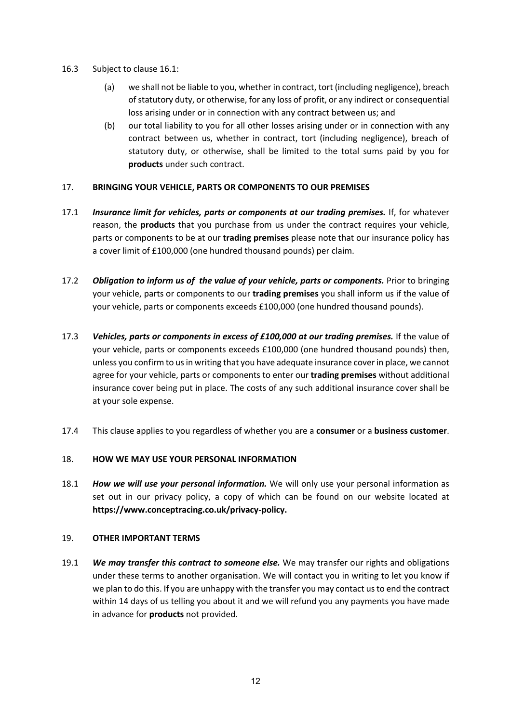- 16.3 Subject to clause 16.1:
	- (a) we shall not be liable to you, whether in contract, tort (including negligence), breach of statutory duty, or otherwise, for any loss of profit, or any indirect or consequential loss arising under or in connection with any contract between us; and
	- (b) our total liability to you for all other losses arising under or in connection with any contract between us, whether in contract, tort (including negligence), breach of statutory duty, or otherwise, shall be limited to the total sums paid by you for **products** under such contract.

#### 17. **BRINGING YOUR VEHICLE, PARTS OR COMPONENTS TO OUR PREMISES**

- 17.1 *Insurance limit for vehicles, parts or components at our trading premises.* If, for whatever reason, the **products** that you purchase from us under the contract requires your vehicle, parts or components to be at our **trading premises** please note that our insurance policy has a cover limit of £100,000 (one hundred thousand pounds) per claim.
- 17.2 *Obligation to inform us of the value of your vehicle, parts or components.* Prior to bringing your vehicle, parts or components to our **trading premises** you shall inform us if the value of your vehicle, parts or components exceeds £100,000 (one hundred thousand pounds).
- 17.3 *Vehicles, parts or components in excess of £100,000 at our trading premises.* If the value of your vehicle, parts or components exceeds £100,000 (one hundred thousand pounds) then, unless you confirm to us in writing that you have adequate insurance cover in place, we cannot agree for your vehicle, parts or components to enter our **trading premises** without additional insurance cover being put in place. The costs of any such additional insurance cover shall be at your sole expense.
- 17.4 This clause applies to you regardless of whether you are a **consumer** or a **business customer**.

## 18. **HOW WE MAY USE YOUR PERSONAL INFORMATION**

18.1 *How we will use your personal information.* We will only use your personal information as set out in our privacy policy, a copy of which can be found on our website located at **https://www.conceptracing.co.uk/privacy-policy.** 

#### 19. **OTHER IMPORTANT TERMS**

19.1 *We may transfer this contract to someone else.* We may transfer our rights and obligations under these terms to another organisation. We will contact you in writing to let you know if we plan to do this. If you are unhappy with the transfer you may contact us to end the contract within 14 days of us telling you about it and we will refund you any payments you have made in advance for **products** not provided.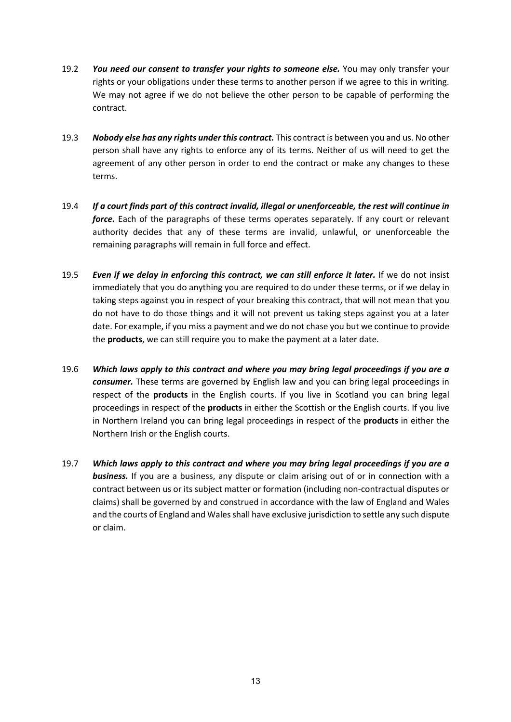- 19.2 *You need our consent to transfer your rights to someone else.* You may only transfer your rights or your obligations under these terms to another person if we agree to this in writing. We may not agree if we do not believe the other person to be capable of performing the contract.
- 19.3 *Nobody else has any rights under this contract.* This contract is between you and us. No other person shall have any rights to enforce any of its terms. Neither of us will need to get the agreement of any other person in order to end the contract or make any changes to these terms.
- 19.4 *If a court finds part of this contract invalid, illegal or unenforceable, the rest will continue in force.* Each of the paragraphs of these terms operates separately. If any court or relevant authority decides that any of these terms are invalid, unlawful, or unenforceable the remaining paragraphs will remain in full force and effect.
- 19.5 *Even if we delay in enforcing this contract, we can still enforce it later.* If we do not insist immediately that you do anything you are required to do under these terms, or if we delay in taking steps against you in respect of your breaking this contract, that will not mean that you do not have to do those things and it will not prevent us taking steps against you at a later date. For example, if you miss a payment and we do not chase you but we continue to provide the **products**, we can still require you to make the payment at a later date.
- 19.6 *Which laws apply to this contract and where you may bring legal proceedings if you are a consumer.* These terms are governed by English law and you can bring legal proceedings in respect of the **products** in the English courts. If you live in Scotland you can bring legal proceedings in respect of the **products** in either the Scottish or the English courts. If you live in Northern Ireland you can bring legal proceedings in respect of the **products** in either the Northern Irish or the English courts.
- 19.7 *Which laws apply to this contract and where you may bring legal proceedings if you are a business.* If you are a business, any dispute or claim arising out of or in connection with a contract between us or its subject matter or formation (including non-contractual disputes or claims) shall be governed by and construed in accordance with the law of England and Wales and the courts of England and Wales shall have exclusive jurisdiction to settle any such dispute or claim.